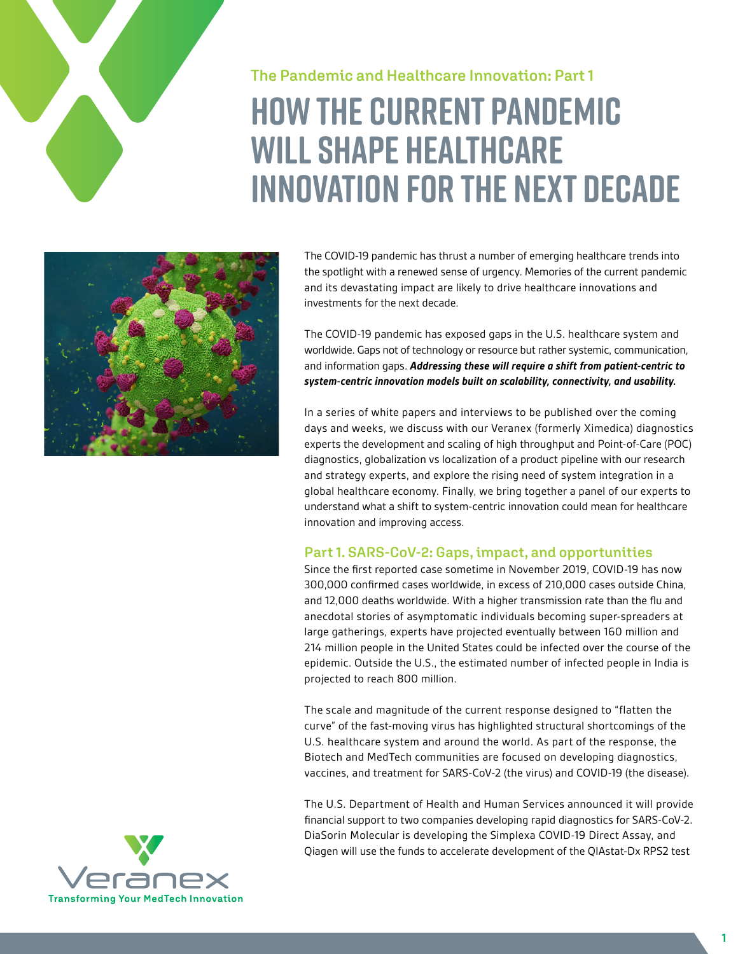

# **The Pandemic and Healthcare Innovation: Part 1 How the current pandemic will shape healthcare innovation for the next decade**



The COVID-19 pandemic has thrust a number of emerging healthcare trends into the spotlight with a renewed sense of urgency. Memories of the current pandemic and its devastating impact are likely to drive healthcare innovations and investments for the next decade.

The COVID-19 pandemic has exposed gaps in the U.S. healthcare system and worldwide. Gaps not of technology or resource but rather systemic, communication, and information gaps. *Addressing these will require a shift from patient-centric to system-centric innovation models built on scalability, connectivity, and usability.*

In a series of white papers and interviews to be published over the coming days and weeks, we discuss with our Veranex (formerly Ximedica) diagnostics experts the development and scaling of high throughput and Point-of-Care (POC) diagnostics, globalization vs localization of a product pipeline with our research and strategy experts, and explore the rising need of system integration in a global healthcare economy. Finally, we bring together a panel of our experts to understand what a shift to system-centric innovation could mean for healthcare innovation and improving access.

### **Part 1. SARS-CoV-2: Gaps, impact, and opportunities**

Since the first reported case sometime in November 2019, COVID-19 has now 300,000 confirmed cases worldwide, in excess of 210,000 cases outside China, and 12,000 deaths worldwide. With a higher transmission rate than the flu and anecdotal stories of asymptomatic individuals becoming super-spreaders at large gatherings, experts have projected eventually between 160 million and 214 million people in the United States could be infected over the course of the epidemic. Outside the U.S., the estimated number of infected people in India is projected to reach 800 million.

The scale and magnitude of the current response designed to "flatten the curve" of the fast-moving virus has highlighted structural shortcomings of the U.S. healthcare system and around the world. As part of the response, the Biotech and MedTech communities are focused on developing diagnostics, vaccines, and treatment for SARS-CoV-2 (the virus) and COVID-19 (the disease).

The U.S. Department of Health and Human Services announced it will provide financial support to two companies developing rapid diagnostics for SARS-CoV-2. DiaSorin Molecular is developing the Simplexa COVID-19 Direct Assay, and Qiagen will use the funds to accelerate development of the QIAstat-Dx RPS2 test

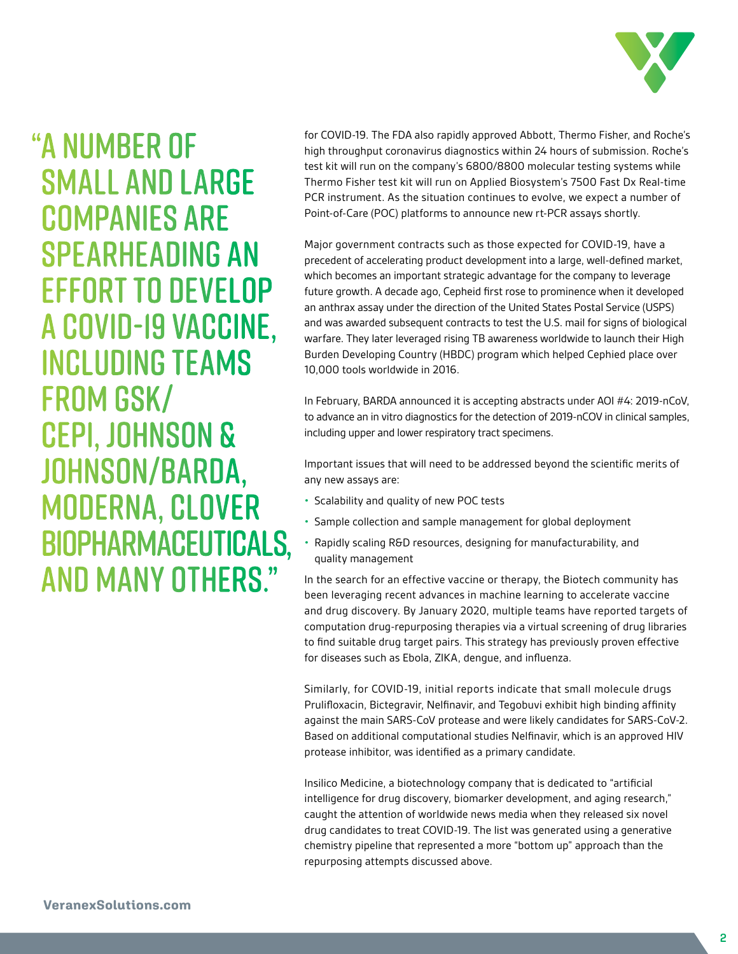

# "A NUMBER OF SMALL AND LARGE COMPANIES ARE SPEARHEADING AN EFFORT TO DEVELOP A COVID-19 VACCINE, INCLUDING TEAMS FROM GSK/ CEPI, JOHNSON & JOHNSON/BARDA, MODERNA, CLOVER BIOPHARMACEUTICALS, AND MANY OTHERS."

for COVID-19. The FDA also rapidly approved Abbott, Thermo Fisher, and Roche's high throughput coronavirus diagnostics within 24 hours of submission. Roche's test kit will run on the company's 6800/8800 molecular testing systems while Thermo Fisher test kit will run on Applied Biosystem's 7500 Fast Dx Real-time PCR instrument. As the situation continues to evolve, we expect a number of Point-of-Care (POC) platforms to announce new rt-PCR assays shortly.

Major government contracts such as those expected for COVID-19, have a precedent of accelerating product development into a large, well-defined market, which becomes an important strategic advantage for the company to leverage future growth. A decade ago, Cepheid first rose to prominence when it developed an anthrax assay under the direction of the United States Postal Service (USPS) and was awarded subsequent contracts to test the U.S. mail for signs of biological warfare. They later leveraged rising TB awareness worldwide to launch their High Burden Developing Country (HBDC) program which helped Cephied place over 10,000 tools worldwide in 2016.

In February, BARDA announced it is accepting abstracts under AOI #4: 2019-nCoV, to advance an in vitro diagnostics for the detection of 2019-nCOV in clinical samples, including upper and lower respiratory tract specimens.

Important issues that will need to be addressed beyond the scientific merits of any new assays are:

- Scalability and quality of new POC tests
- Sample collection and sample management for global deployment
- Rapidly scaling R&D resources, designing for manufacturability, and quality management

In the search for an effective vaccine or therapy, the Biotech community has been leveraging recent advances in machine learning to accelerate vaccine and drug discovery. By January 2020, multiple teams have reported targets of computation drug-repurposing therapies via a virtual screening of drug libraries to find suitable drug target pairs. This strategy has previously proven effective for diseases such as Ebola, ZIKA, dengue, and influenza.

Similarly, for COVID-19, initial reports indicate that small molecule drugs Prulifloxacin, Bictegravir, Nelfinavir, and Tegobuvi exhibit high binding affinity against the main SARS-CoV protease and were likely candidates for SARS-CoV-2. Based on additional computational studies Nelfinavir, which is an approved HIV protease inhibitor, was identified as a primary candidate.

Insilico Medicine, a biotechnology company that is dedicated to "artificial intelligence for drug discovery, biomarker development, and aging research," caught the attention of worldwide news media when they released six novel drug candidates to treat COVID-19. The list was generated using a generative chemistry pipeline that represented a more "bottom up" approach than the repurposing attempts discussed above.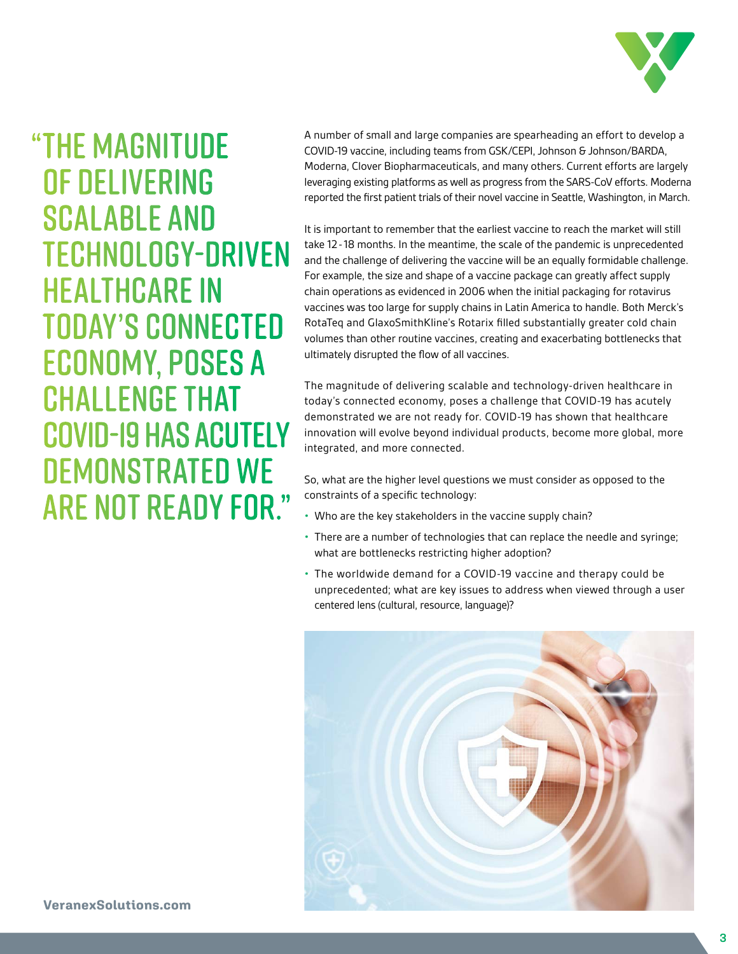

# "THE MAGNITUDE OF DELIVERING SCALABLE AND TECHNOLOGY-DRIVEN HEALTHCARE IN TODAY'S CONNECTED ECONOMY, POSES A CHALLENGE THAT COVID-19 HAS ACUTELY DEMONSTRATED WE ARE NOT READY FOR."

A number of small and large companies are spearheading an effort to develop a COVID-19 vaccine, including teams from GSK/CEPI, Johnson & Johnson/BARDA, Moderna, Clover Biopharmaceuticals, and many others. Current efforts are largely leveraging existing platforms as well as progress from the SARS-CoV efforts. Moderna reported the first patient trials of their novel vaccine in Seattle, Washington, in March.

It is important to remember that the earliest vaccine to reach the market will still take 12-18 months. In the meantime, the scale of the pandemic is unprecedented and the challenge of delivering the vaccine will be an equally formidable challenge. For example, the size and shape of a vaccine package can greatly affect supply chain operations as evidenced in 2006 when the initial packaging for rotavirus vaccines was too large for supply chains in Latin America to handle. Both Merck's RotaTeq and GlaxoSmithKline's Rotarix filled substantially greater cold chain volumes than other routine vaccines, creating and exacerbating bottlenecks that ultimately disrupted the flow of all vaccines.

The magnitude of delivering scalable and technology-driven healthcare in today's connected economy, poses a challenge that COVID-19 has acutely demonstrated we are not ready for. COVID-19 has shown that healthcare innovation will evolve beyond individual products, become more global, more integrated, and more connected.

So, what are the higher level questions we must consider as opposed to the constraints of a specific technology:

- Who are the key stakeholders in the vaccine supply chain?
- There are a number of technologies that can replace the needle and syringe; what are bottlenecks restricting higher adoption?
- The worldwide demand for a COVID-19 vaccine and therapy could be unprecedented; what are key issues to address when viewed through a user centered lens (cultural, resource, language)?